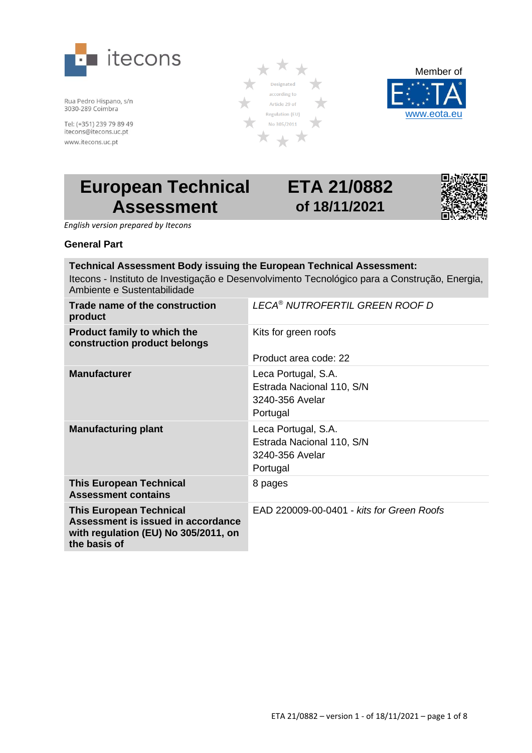

Rua Pedro Hispano, s/n 3030-289 Coimbra

Tel: (+351) 239 79 89 49 itecons@itecons.uc.pt www.itecons.uc.pt





# **European Technical Assessment**

# **ETA 21/0882 of 18/11/2021**



 *English version prepared by Itecons*

### **General Part**

#### **Technical Assessment Body issuing the European Technical Assessment:** Itecons - Instituto de Investigação e Desenvolvimento Tecnológico para a Construção, Energia, Ambiente e Sustentabilidade

| Trade name of the construction<br>product                                                                                    | LECA <sup>®</sup> NUTROFERTIL GREEN ROOF D                                      |  |
|------------------------------------------------------------------------------------------------------------------------------|---------------------------------------------------------------------------------|--|
| <b>Product family to which the</b><br>construction product belongs                                                           | Kits for green roofs                                                            |  |
|                                                                                                                              | Product area code: 22                                                           |  |
| <b>Manufacturer</b>                                                                                                          | Leca Portugal, S.A.<br>Estrada Nacional 110, S/N<br>3240-356 Avelar<br>Portugal |  |
| <b>Manufacturing plant</b>                                                                                                   | Leca Portugal, S.A.<br>Estrada Nacional 110, S/N<br>3240-356 Avelar<br>Portugal |  |
| <b>This European Technical</b><br><b>Assessment contains</b>                                                                 | 8 pages                                                                         |  |
| <b>This European Technical</b><br>Assessment is issued in accordance<br>with regulation (EU) No 305/2011, on<br>the basis of | EAD 220009-00-0401 - kits for Green Roofs                                       |  |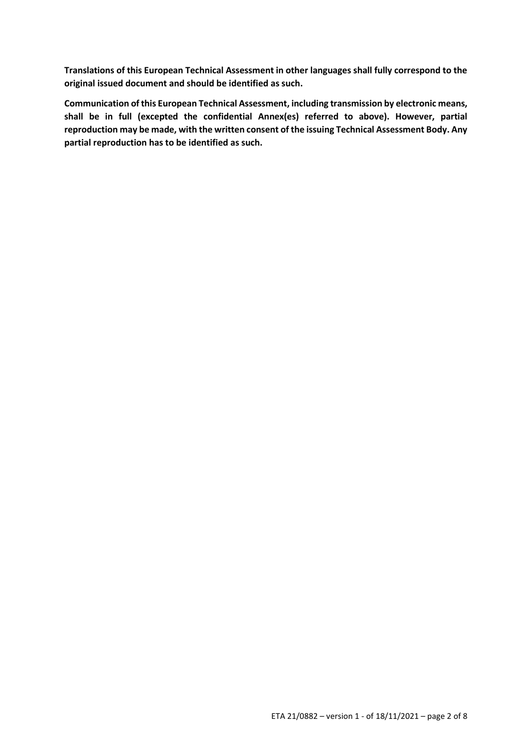**Translations of this European Technical Assessment in other languages shall fully correspond to the original issued document and should be identified as such.**

**Communication of this European Technical Assessment, including transmission by electronic means, shall be in full (excepted the confidential Annex(es) referred to above). However, partial reproduction may be made, with the written consent of the issuing Technical Assessment Body. Any partial reproduction has to be identified as such.**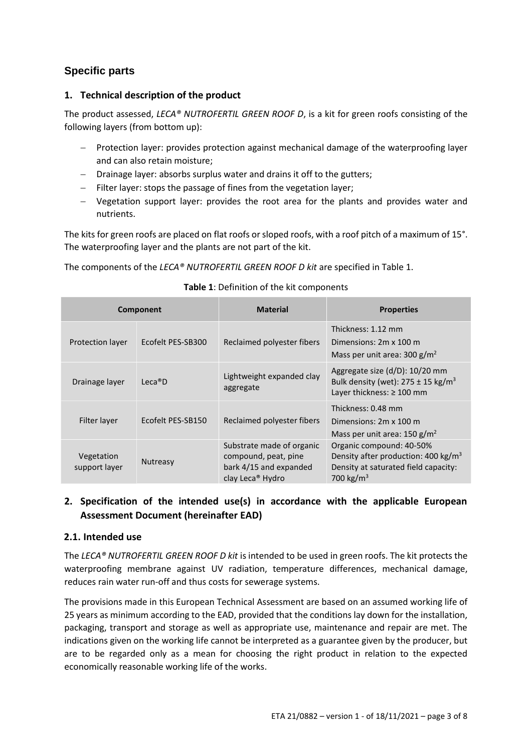## **Specific parts**

## **1. Technical description of the product**

The product assessed, *LECA® NUTROFERTIL GREEN ROOF D*, is a kit for green roofs consisting of the following layers (from bottom up):

- − Protection layer: provides protection against mechanical damage of the waterproofing layer and can also retain moisture;
- − Drainage layer: absorbs surplus water and drains it off to the gutters;
- − Filter layer: stops the passage of fines from the vegetation layer;
- − Vegetation support layer: provides the root area for the plants and provides water and nutrients.

The kits for green roofs are placed on flat roofs or sloped roofs, with a roof pitch of a maximum of 15°. The waterproofing layer and the plants are not part of the kit.

The components of the *LECA® NUTROFERTIL GREEN ROOF D kit* are specified in Table 1.

#### **Component Material Material Properties** Protection layer Ecofelt PES-SB300 Reclaimed polyester fibers Thickness: 1.12 mm Dimensions: 2m x 100 m Mass per unit area:  $300 g/m<sup>2</sup>$ Drainage layer Leca®D Lightweight expanded clay aggregate Aggregate size (d/D): 10/20 mm Bulk density (wet):  $275 \pm 15$  kg/m<sup>3</sup> Layer thickness: ≥ 100 mm Filter layer Ecofelt PES-SB150 Reclaimed polyester fibers Thickness: 0.48 mm Dimensions: 2m x 100 m Mass per unit area:  $150 g/m<sup>2</sup>$ Vegetation support layer Nutreasy Substrate made of organic compound, peat, pine bark 4/15 and expanded Organic compound: 40-50% Density after production:  $400 \text{ kg/m}^3$ Density at saturated field capacity:

### **Table 1**: Definition of the kit components

## **2. Specification of the intended use(s) in accordance with the applicable European Assessment Document (hereinafter EAD)**

clay Leca® Hydro

## **2.1. Intended use**

The *LECA® NUTROFERTIL GREEN ROOF D kit* is intended to be used in green roofs. The kit protects the waterproofing membrane against UV radiation, temperature differences, mechanical damage, reduces rain water run-off and thus costs for sewerage systems.

The provisions made in this European Technical Assessment are based on an assumed working life of 25 years as minimum according to the EAD, provided that the conditions lay down for the installation, packaging, transport and storage as well as appropriate use, maintenance and repair are met. The indications given on the working life cannot be interpreted as a guarantee given by the producer, but are to be regarded only as a mean for choosing the right product in relation to the expected economically reasonable working life of the works.

700 kg/ $m^3$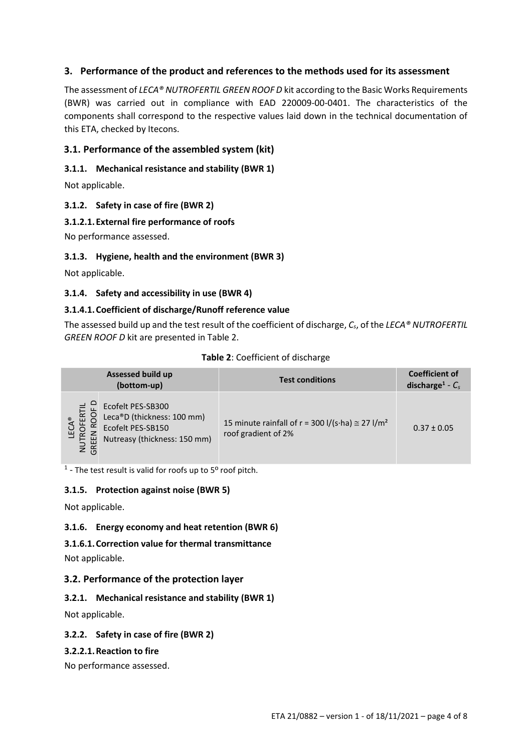## **3. Performance of the product and references to the methods used for its assessment**

The assessment of *LECA® NUTROFERTIL GREEN ROOF D* kit according to the Basic Works Requirements (BWR) was carried out in compliance with EAD 220009-00-0401. The characteristics of the components shall correspond to the respective values laid down in the technical documentation of this ETA, checked by Itecons.

## **3.1. Performance of the assembled system (kit)**

## **3.1.1. Mechanical resistance and stability (BWR 1)**

Not applicable.

### **3.1.2. Safety in case of fire (BWR 2)**

### **3.1.2.1.External fire performance of roofs**

No performance assessed.

### **3.1.3. Hygiene, health and the environment (BWR 3)**

Not applicable.

### **3.1.4. Safety and accessibility in use (BWR 4)**

## **3.1.4.1.Coefficient of discharge/Runoff reference value**

The assessed build up and the test result of the coefficient of discharge, *Cs*, of the *LECA® NUTROFERTIL GREEN ROOF D* kit are presented in Table 2.

|               | <b>Assessed build up</b><br>(bottom-up)                                                              | <b>Test conditions</b>                                                                      | <b>Coefficient of</b><br>discharge <sup>1</sup> - $C_s$ |
|---------------|------------------------------------------------------------------------------------------------------|---------------------------------------------------------------------------------------------|---------------------------------------------------------|
| NUTI<br>GREEI | Ecofelt PES-SB300<br>Leca®D (thickness: 100 mm)<br>Ecofelt PES-SB150<br>Nutreasy (thickness: 150 mm) | 15 minute rainfall of r = 300 l/(s·ha) $\approx$ 27 l/m <sup>2</sup><br>roof gradient of 2% | $0.37 \pm 0.05$                                         |

#### **Table 2**: Coefficient of discharge

 $<sup>1</sup>$  - The test result is valid for roofs up to 5<sup>0</sup> roof pitch.</sup>

#### **3.1.5. Protection against noise (BWR 5)**

Not applicable.

## **3.1.6. Energy economy and heat retention (BWR 6)**

**3.1.6.1.Correction value for thermal transmittance**  Not applicable.

## **3.2. Performance of the protection layer**

## **3.2.1. Mechanical resistance and stability (BWR 1)**

Not applicable.

#### **3.2.2. Safety in case of fire (BWR 2)**

#### **3.2.2.1.Reaction to fire**

No performance assessed.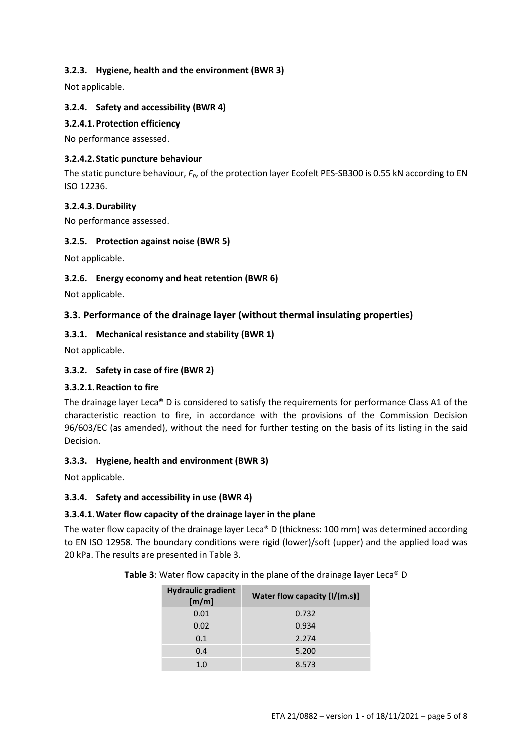## **3.2.3. Hygiene, health and the environment (BWR 3)**

Not applicable.

## **3.2.4. Safety and accessibility (BWR 4)**

## **3.2.4.1.Protection efficiency**

No performance assessed.

#### **3.2.4.2.Static puncture behaviour**

The static puncture behaviour, *Fp*, of the protection layer Ecofelt PES-SB300 is 0.55 kN according to EN ISO 12236.

#### **3.2.4.3.Durability**

No performance assessed.

### **3.2.5. Protection against noise (BWR 5)**

Not applicable.

## **3.2.6. Energy economy and heat retention (BWR 6)**

Not applicable.

## **3.3. Performance of the drainage layer (without thermal insulating properties)**

### **3.3.1. Mechanical resistance and stability (BWR 1)**

Not applicable.

### **3.3.2. Safety in case of fire (BWR 2)**

#### **3.3.2.1.Reaction to fire**

The drainage layer Leca® D is considered to satisfy the requirements for performance Class A1 of the characteristic reaction to fire, in accordance with the provisions of the Commission Decision 96/603/EC (as amended), without the need for further testing on the basis of its listing in the said Decision.

#### **3.3.3. Hygiene, health and environment (BWR 3)**

Not applicable.

#### **3.3.4. Safety and accessibility in use (BWR 4)**

#### **3.3.4.1.Water flow capacity of the drainage layer in the plane**

The water flow capacity of the drainage layer Leca® D (thickness: 100 mm) was determined according to EN ISO 12958. The boundary conditions were rigid (lower)/soft (upper) and the applied load was 20 kPa. The results are presented in Table 3.

**Table 3**: Water flow capacity in the plane of the drainage layer Leca® D

| <b>Hydraulic gradient</b><br>[m/m] | Water flow capacity $[I/(m.s)]$ |
|------------------------------------|---------------------------------|
| 0.01                               | 0.732                           |
| 0.02                               | 0.934                           |
| 0.1                                | 2.274                           |
| 0.4                                | 5.200                           |
| 1.0                                | 8.573                           |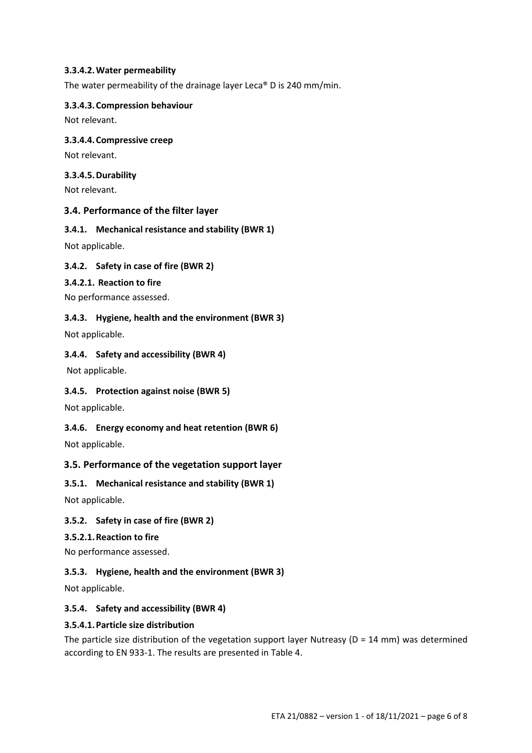### **3.3.4.2.Water permeability**

The water permeability of the drainage layer Leca® D is 240 mm/min.

#### **3.3.4.3.Compression behaviour**

Not relevant.

### **3.3.4.4.Compressive creep**

Not relevant.

### **3.3.4.5.Durability**

Not relevant.

## **3.4. Performance of the filter layer**

### **3.4.1. Mechanical resistance and stability (BWR 1)**

Not applicable.

## **3.4.2. Safety in case of fire (BWR 2)**

### **3.4.2.1. Reaction to fire**

No performance assessed.

### **3.4.3. Hygiene, health and the environment (BWR 3)**

Not applicable.

### **3.4.4. Safety and accessibility (BWR 4)**

Not applicable.

## **3.4.5. Protection against noise (BWR 5)**

Not applicable.

## **3.4.6. Energy economy and heat retention (BWR 6)**

Not applicable.

## **3.5. Performance of the vegetation support layer**

## **3.5.1. Mechanical resistance and stability (BWR 1)**

Not applicable.

## **3.5.2. Safety in case of fire (BWR 2)**

#### **3.5.2.1.Reaction to fire**

No performance assessed.

## **3.5.3. Hygiene, health and the environment (BWR 3)**

Not applicable.

## **3.5.4. Safety and accessibility (BWR 4)**

#### **3.5.4.1.Particle size distribution**

The particle size distribution of the vegetation support layer Nutreasy ( $D = 14$  mm) was determined according to EN 933-1. The results are presented in Table 4.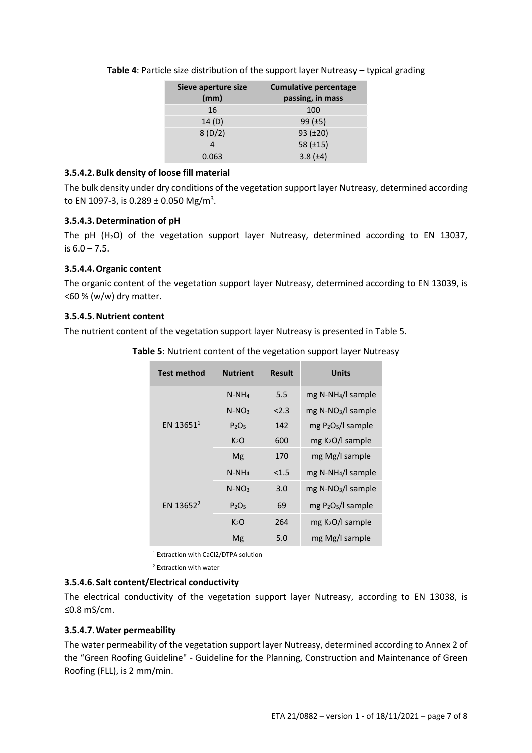| Sieve aperture size<br>(mm) | <b>Cumulative percentage</b><br>passing, in mass |
|-----------------------------|--------------------------------------------------|
| 16                          | 100                                              |
| 14(D)                       | 99 $(\pm 5)$                                     |
| 8(D/2)                      | 93 (±20)                                         |
| 4                           | 58 $(\pm 15)$                                    |
| 0.063                       | $3.8 (\pm 4)$                                    |

**Table 4**: Particle size distribution of the support layer Nutreasy – typical grading

## **3.5.4.2.Bulk density of loose fill material**

The bulk density under dry conditions of the vegetation support layer Nutreasy, determined according to EN 1097-3, is 0.289 ± 0.050 Mg/m<sup>3</sup>.

## **3.5.4.3.Determination of pH**

The pH  $(H<sub>2</sub>O)$  of the vegetation support layer Nutreasy, determined according to EN 13037, is  $6.0 - 7.5$ .

## **3.5.4.4.Organic content**

The organic content of the vegetation support layer Nutreasy, determined according to EN 13039, is  $<$  60 % (w/w) dry matter.

### **3.5.4.5.Nutrient content**

The nutrient content of the vegetation support layer Nutreasy is presented in Table 5.

| <b>Test method</b>    | <b>Nutrient</b>               | <b>Result</b> | <b>Units</b>                     |
|-----------------------|-------------------------------|---------------|----------------------------------|
| EN 13651 <sup>1</sup> | $N-NH_4$                      | 5.5           | $mg$ N-NH <sub>4</sub> /l sample |
|                       | $N-NO3$                       | 2.3           | $mg$ N-NO <sub>3</sub> /l sample |
|                       | P <sub>2</sub> O <sub>5</sub> | 142           | $mgP_2O_5/l$ sample              |
|                       | K <sub>2</sub> O              | 600           | $mg K2O/l$ sample                |
|                       | Mg                            | 170           | mg Mg/I sample                   |
|                       | $N-NH_4$                      | < 1.5         | mg N-NH <sub>4</sub> /l sample   |
|                       | $N-NO3$                       | 3.0           | $mg$ N-NO <sub>3</sub> /l sample |
| EN 13652 <sup>2</sup> | $P_2O_5$                      | 69            | $mgP_2O_5/l$ sample              |
|                       | K <sub>2</sub> O              | 264           | $mg K2O/l$ sample                |
|                       | Mg                            | 5.0           | mg Mg/I sample                   |

**Table 5**: Nutrient content of the vegetation support layer Nutreasy

<sup>1</sup> Extraction with CaCl2/DTPA solution

<sup>2</sup> Extraction with water

## **3.5.4.6.Salt content/Electrical conductivity**

The electrical conductivity of the vegetation support layer Nutreasy, according to EN 13038, is ≤0.8 mS/cm.

## **3.5.4.7.Water permeability**

The water permeability of the vegetation support layer Nutreasy, determined according to Annex 2 of the "Green Roofing Guideline" - Guideline for the Planning, Construction and Maintenance of Green Roofing (FLL), is 2 mm/min.